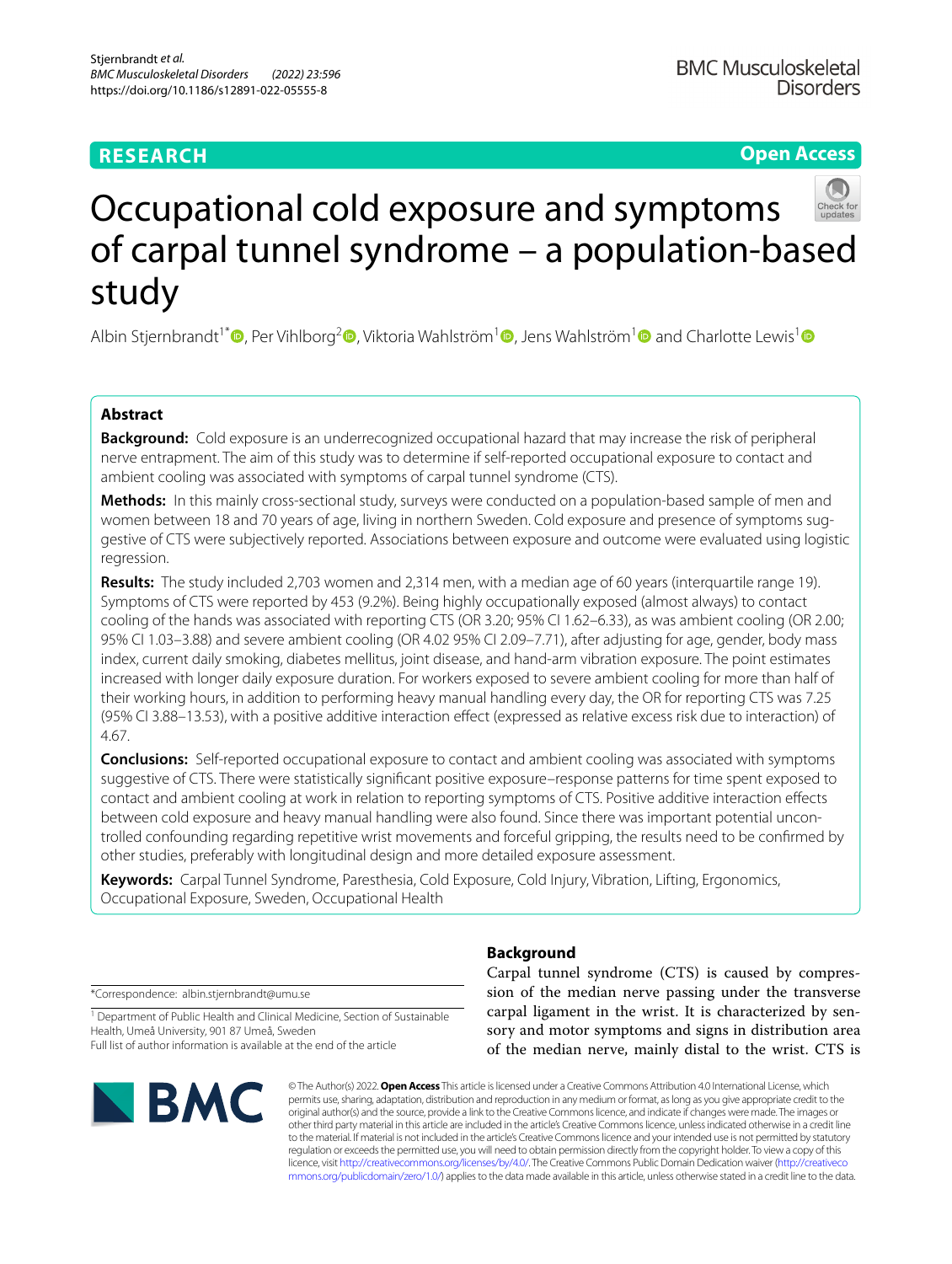# **RESEARCH**

# **Open Access**



# Occupational cold exposure and symptoms of carpal tunnel syndrome – a population-based study

Albin Stjernbrandt<sup>1[\\*](http://orcid.org/0000-0001-6082-8465)</sup>  $\Phi$ [,](http://orcid.org/0000-0002-4256-1880) Per Vihlborg<sup>2</sup>  $\Phi$ [,](http://orcid.org/0000-0002-4656-7606) Viktoria Wahlström<sup>1</sup>  $\Phi$ , Jens Wahlström<sup>1</sup>  $\Phi$  and Charlotte Lewis<sup>1</sup>  $\Phi$ 

# **Abstract**

**Background:** Cold exposure is an underrecognized occupational hazard that may increase the risk of peripheral nerve entrapment. The aim of this study was to determine if self-reported occupational exposure to contact and ambient cooling was associated with symptoms of carpal tunnel syndrome (CTS).

**Methods:** In this mainly cross-sectional study, surveys were conducted on a population-based sample of men and women between 18 and 70 years of age, living in northern Sweden. Cold exposure and presence of symptoms suggestive of CTS were subjectively reported. Associations between exposure and outcome were evaluated using logistic regression.

**Results:** The study included 2,703 women and 2,314 men, with a median age of 60 years (interquartile range 19). Symptoms of CTS were reported by 453 (9.2%). Being highly occupationally exposed (almost always) to contact cooling of the hands was associated with reporting CTS (OR 3.20; 95% CI 1.62–6.33), as was ambient cooling (OR 2.00; 95% CI 1.03–3.88) and severe ambient cooling (OR 4.02 95% CI 2.09–7.71), after adjusting for age, gender, body mass index, current daily smoking, diabetes mellitus, joint disease, and hand-arm vibration exposure. The point estimates increased with longer daily exposure duration. For workers exposed to severe ambient cooling for more than half of their working hours, in addition to performing heavy manual handling every day, the OR for reporting CTS was 7.25 (95% CI 3.88–13.53), with a positive additive interaction efect (expressed as relative excess risk due to interaction) of 4.67.

**Conclusions:** Self-reported occupational exposure to contact and ambient cooling was associated with symptoms suggestive of CTS. There were statistically signifcant positive exposure–response patterns for time spent exposed to contact and ambient cooling at work in relation to reporting symptoms of CTS. Positive additive interaction efects between cold exposure and heavy manual handling were also found. Since there was important potential uncontrolled confounding regarding repetitive wrist movements and forceful gripping, the results need to be confrmed by other studies, preferably with longitudinal design and more detailed exposure assessment.

**Keywords:** Carpal Tunnel Syndrome, Paresthesia, Cold Exposure, Cold Injury, Vibration, Lifting, Ergonomics, Occupational Exposure, Sweden, Occupational Health

\*Correspondence: albin.stjernbrandt@umu.se

<sup>1</sup> Department of Public Health and Clinical Medicine, Section of Sustainable Health, Umeå University, 901 87 Umeå, Sweden Full list of author information is available at the end of the article



# **Background**

Carpal tunnel syndrome (CTS) is caused by compression of the median nerve passing under the transverse carpal ligament in the wrist. It is characterized by sensory and motor symptoms and signs in distribution area of the median nerve, mainly distal to the wrist. CTS is

© The Author(s) 2022. **Open Access** This article is licensed under a Creative Commons Attribution 4.0 International License, which permits use, sharing, adaptation, distribution and reproduction in any medium or format, as long as you give appropriate credit to the original author(s) and the source, provide a link to the Creative Commons licence, and indicate if changes were made. The images or other third party material in this article are included in the article's Creative Commons licence, unless indicated otherwise in a credit line to the material. If material is not included in the article's Creative Commons licence and your intended use is not permitted by statutory regulation or exceeds the permitted use, you will need to obtain permission directly from the copyright holder. To view a copy of this licence, visit [http://creativecommons.org/licenses/by/4.0/.](http://creativecommons.org/licenses/by/4.0/) The Creative Commons Public Domain Dedication waiver ([http://creativeco](http://creativecommons.org/publicdomain/zero/1.0/) [mmons.org/publicdomain/zero/1.0/](http://creativecommons.org/publicdomain/zero/1.0/)) applies to the data made available in this article, unless otherwise stated in a credit line to the data.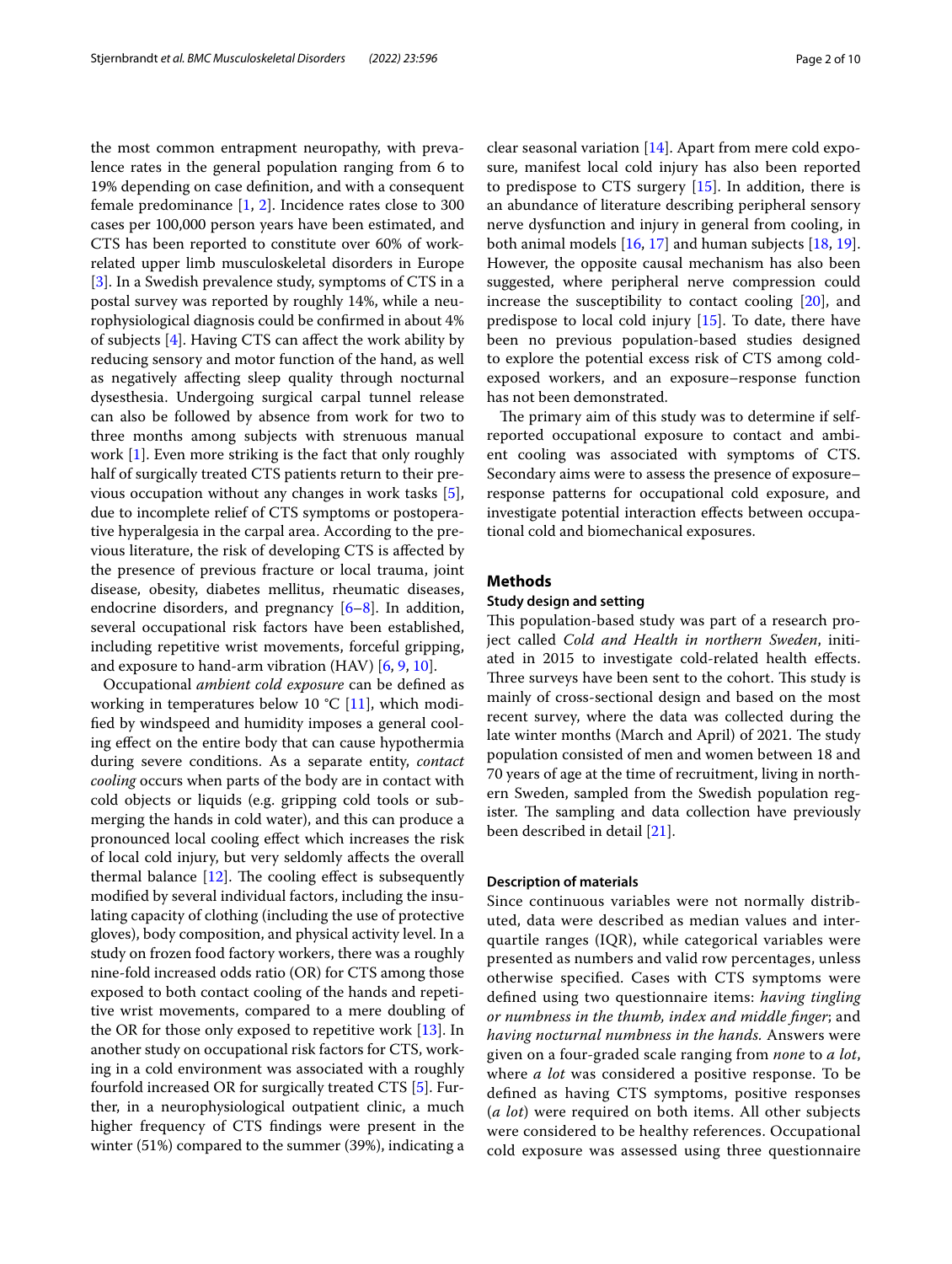the most common entrapment neuropathy, with prevalence rates in the general population ranging from 6 to 19% depending on case defnition, and with a consequent female predominance [[1,](#page-8-0) [2](#page-8-1)]. Incidence rates close to 300 cases per 100,000 person years have been estimated, and CTS has been reported to constitute over 60% of workrelated upper limb musculoskeletal disorders in Europe [[3\]](#page-8-2). In a Swedish prevalence study, symptoms of CTS in a postal survey was reported by roughly 14%, while a neurophysiological diagnosis could be confrmed in about 4% of subjects [\[4](#page-8-3)]. Having CTS can afect the work ability by reducing sensory and motor function of the hand, as well as negatively afecting sleep quality through nocturnal dysesthesia. Undergoing surgical carpal tunnel release can also be followed by absence from work for two to three months among subjects with strenuous manual work [\[1](#page-8-0)]. Even more striking is the fact that only roughly half of surgically treated CTS patients return to their previous occupation without any changes in work tasks [\[5](#page-8-4)], due to incomplete relief of CTS symptoms or postoperative hyperalgesia in the carpal area. According to the previous literature, the risk of developing CTS is afected by the presence of previous fracture or local trauma, joint disease, obesity, diabetes mellitus, rheumatic diseases, endocrine disorders, and pregnancy [\[6–](#page-8-5)[8\]](#page-8-6). In addition, several occupational risk factors have been established, including repetitive wrist movements, forceful gripping, and exposure to hand-arm vibration (HAV) [[6](#page-8-5), [9,](#page-8-7) [10](#page-8-8)].

Occupational *ambient cold exposure* can be defned as working in temperatures below 10 °C [\[11\]](#page-8-9), which modifed by windspeed and humidity imposes a general cooling efect on the entire body that can cause hypothermia during severe conditions. As a separate entity, *contact cooling* occurs when parts of the body are in contact with cold objects or liquids (e.g. gripping cold tools or submerging the hands in cold water), and this can produce a pronounced local cooling efect which increases the risk of local cold injury, but very seldomly afects the overall thermal balance  $[12]$  $[12]$ . The cooling effect is subsequently modifed by several individual factors, including the insulating capacity of clothing (including the use of protective gloves), body composition, and physical activity level. In a study on frozen food factory workers, there was a roughly nine-fold increased odds ratio (OR) for CTS among those exposed to both contact cooling of the hands and repetitive wrist movements, compared to a mere doubling of the OR for those only exposed to repetitive work [[13\]](#page-8-11). In another study on occupational risk factors for CTS, working in a cold environment was associated with a roughly fourfold increased OR for surgically treated CTS [[5](#page-8-4)]. Further, in a neurophysiological outpatient clinic, a much higher frequency of CTS fndings were present in the winter (51%) compared to the summer (39%), indicating a clear seasonal variation [[14\]](#page-8-12). Apart from mere cold exposure, manifest local cold injury has also been reported to predispose to CTS surgery [[15\]](#page-8-13). In addition, there is an abundance of literature describing peripheral sensory nerve dysfunction and injury in general from cooling, in both animal models  $[16, 17]$  $[16, 17]$  $[16, 17]$  $[16, 17]$  and human subjects  $[18, 19]$  $[18, 19]$  $[18, 19]$  $[18, 19]$ . However, the opposite causal mechanism has also been suggested, where peripheral nerve compression could increase the susceptibility to contact cooling [[20\]](#page-8-18), and predispose to local cold injury [\[15\]](#page-8-13). To date, there have been no previous population-based studies designed to explore the potential excess risk of CTS among coldexposed workers, and an exposure–response function has not been demonstrated.

The primary aim of this study was to determine if selfreported occupational exposure to contact and ambient cooling was associated with symptoms of CTS. Secondary aims were to assess the presence of exposure– response patterns for occupational cold exposure, and investigate potential interaction efects between occupational cold and biomechanical exposures.

#### **Methods**

#### **Study design and setting**

This population-based study was part of a research project called *Cold and Health in northern Sweden*, initiated in 2015 to investigate cold-related health effects. Three surveys have been sent to the cohort. This study is mainly of cross-sectional design and based on the most recent survey, where the data was collected during the late winter months (March and April) of 2021. The study population consisted of men and women between 18 and 70 years of age at the time of recruitment, living in northern Sweden, sampled from the Swedish population register. The sampling and data collection have previously been described in detail [\[21](#page-8-19)].

# **Description of materials**

Since continuous variables were not normally distributed, data were described as median values and interquartile ranges (IQR), while categorical variables were presented as numbers and valid row percentages, unless otherwise specifed. Cases with CTS symptoms were defned using two questionnaire items: *having tingling or numbness in the thumb, index and middle fnger*; and *having nocturnal numbness in the hands.* Answers were given on a four-graded scale ranging from *none* to *a lot*, where *a lot* was considered a positive response. To be defned as having CTS symptoms, positive responses (*a lot*) were required on both items. All other subjects were considered to be healthy references. Occupational cold exposure was assessed using three questionnaire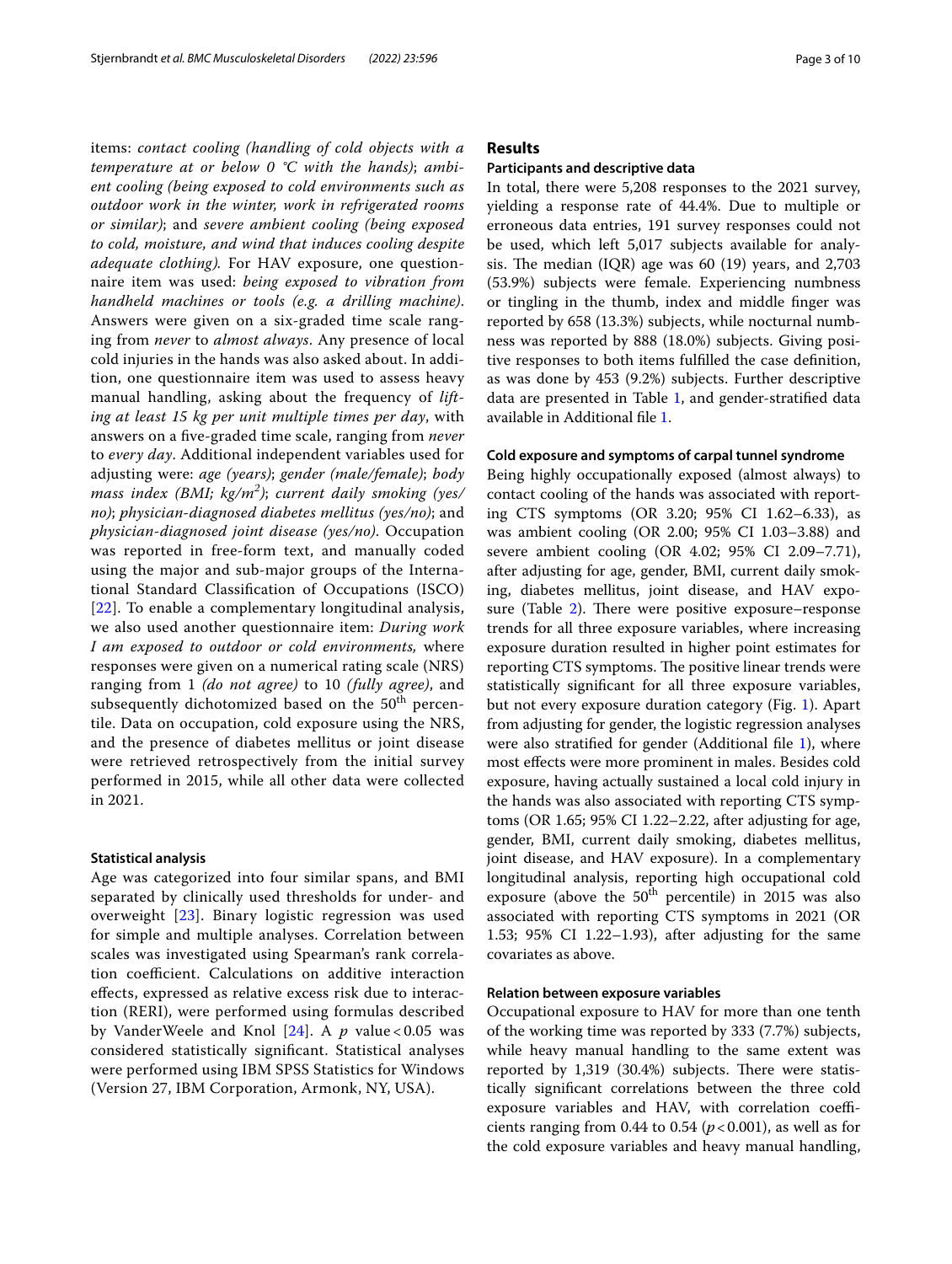items: *contact cooling (handling of cold objects with a temperature at or below 0 °C with the hands)*; *ambient cooling (being exposed to cold environments such as outdoor work in the winter, work in refrigerated rooms or similar)*; and *severe ambient cooling (being exposed to cold, moisture, and wind that induces cooling despite adequate clothing).* For HAV exposure, one questionnaire item was used: *being exposed to vibration from handheld machines or tools (e.g. a drilling machine)*. Answers were given on a six-graded time scale ranging from *never* to *almost always*. Any presence of local cold injuries in the hands was also asked about. In addition, one questionnaire item was used to assess heavy manual handling, asking about the frequency of *lifting at least 15 kg per unit multiple times per day*, with answers on a fve-graded time scale, ranging from *never* to *every day*. Additional independent variables used for adjusting were: *age (years)*; *gender (male/female)*; *body mass index (BMI; kg/m<sup>2</sup> )*; *current daily smoking (yes/ no)*; *physician-diagnosed diabetes mellitus (yes/no)*; and *physician-diagnosed joint disease (yes/no)*. Occupation was reported in free-form text, and manually coded using the major and sub-major groups of the International Standard Classifcation of Occupations (ISCO) [[22](#page-8-20)]. To enable a complementary longitudinal analysis, we also used another questionnaire item: *During work I am exposed to outdoor or cold environments,* where responses were given on a numerical rating scale (NRS) ranging from 1 *(do not agree)* to 10 *(fully agree)*, and subsequently dichotomized based on the  $50<sup>th</sup>$  percentile. Data on occupation, cold exposure using the NRS, and the presence of diabetes mellitus or joint disease were retrieved retrospectively from the initial survey performed in 2015, while all other data were collected in 2021.

#### **Statistical analysis**

Age was categorized into four similar spans, and BMI separated by clinically used thresholds for under- and overweight [[23](#page-8-21)]. Binary logistic regression was used for simple and multiple analyses. Correlation between scales was investigated using Spearman's rank correlation coefficient. Calculations on additive interaction efects, expressed as relative excess risk due to interaction (RERI), were performed using formulas described by VanderWeele and Knol [\[24\]](#page-8-22). A *p* value < 0.05 was considered statistically signifcant. Statistical analyses were performed using IBM SPSS Statistics for Windows (Version 27, IBM Corporation, Armonk, NY, USA).

# **Results**

#### **Participants and descriptive data**

In total, there were 5,208 responses to the 2021 survey, yielding a response rate of 44.4%. Due to multiple or erroneous data entries, 191 survey responses could not be used, which left 5,017 subjects available for analysis. The median  $(IQR)$  age was 60 (19) years, and 2,703 (53.9%) subjects were female. Experiencing numbness or tingling in the thumb, index and middle fnger was reported by 658 (13.3%) subjects, while nocturnal numbness was reported by 888 (18.0%) subjects. Giving positive responses to both items fulflled the case defnition, as was done by 453 (9.2%) subjects. Further descriptive data are presented in Table [1](#page-3-0), and gender-stratifed data available in Additional fle [1](#page-8-23).

#### **Cold exposure and symptoms of carpal tunnel syndrome**

Being highly occupationally exposed (almost always) to contact cooling of the hands was associated with reporting CTS symptoms (OR 3.20; 95% CI 1.62–6.33), as was ambient cooling (OR 2.00; 95% CI 1.03–3.88) and severe ambient cooling (OR 4.02; 95% CI 2.09–7.71), after adjusting for age, gender, BMI, current daily smoking, diabetes mellitus, joint disease, and HAV exposure (Table  $2$ ). There were positive exposure–response trends for all three exposure variables, where increasing exposure duration resulted in higher point estimates for reporting CTS symptoms. The positive linear trends were statistically signifcant for all three exposure variables, but not every exposure duration category (Fig. [1](#page-5-0)). Apart from adjusting for gender, the logistic regression analyses were also stratifed for gender (Additional fle [1\)](#page-8-23), where most efects were more prominent in males. Besides cold exposure, having actually sustained a local cold injury in the hands was also associated with reporting CTS symptoms (OR 1.65; 95% CI 1.22–2.22, after adjusting for age, gender, BMI, current daily smoking, diabetes mellitus, joint disease, and HAV exposure). In a complementary longitudinal analysis, reporting high occupational cold exposure (above the  $50<sup>th</sup>$  percentile) in 2015 was also associated with reporting CTS symptoms in 2021 (OR 1.53; 95% CI 1.22–1.93), after adjusting for the same covariates as above.

#### **Relation between exposure variables**

Occupational exposure to HAV for more than one tenth of the working time was reported by 333 (7.7%) subjects, while heavy manual handling to the same extent was reported by  $1,319$  (30.4%) subjects. There were statistically signifcant correlations between the three cold exposure variables and HAV, with correlation coefficients ranging from 0.44 to 0.54  $(p<0.001)$ , as well as for the cold exposure variables and heavy manual handling,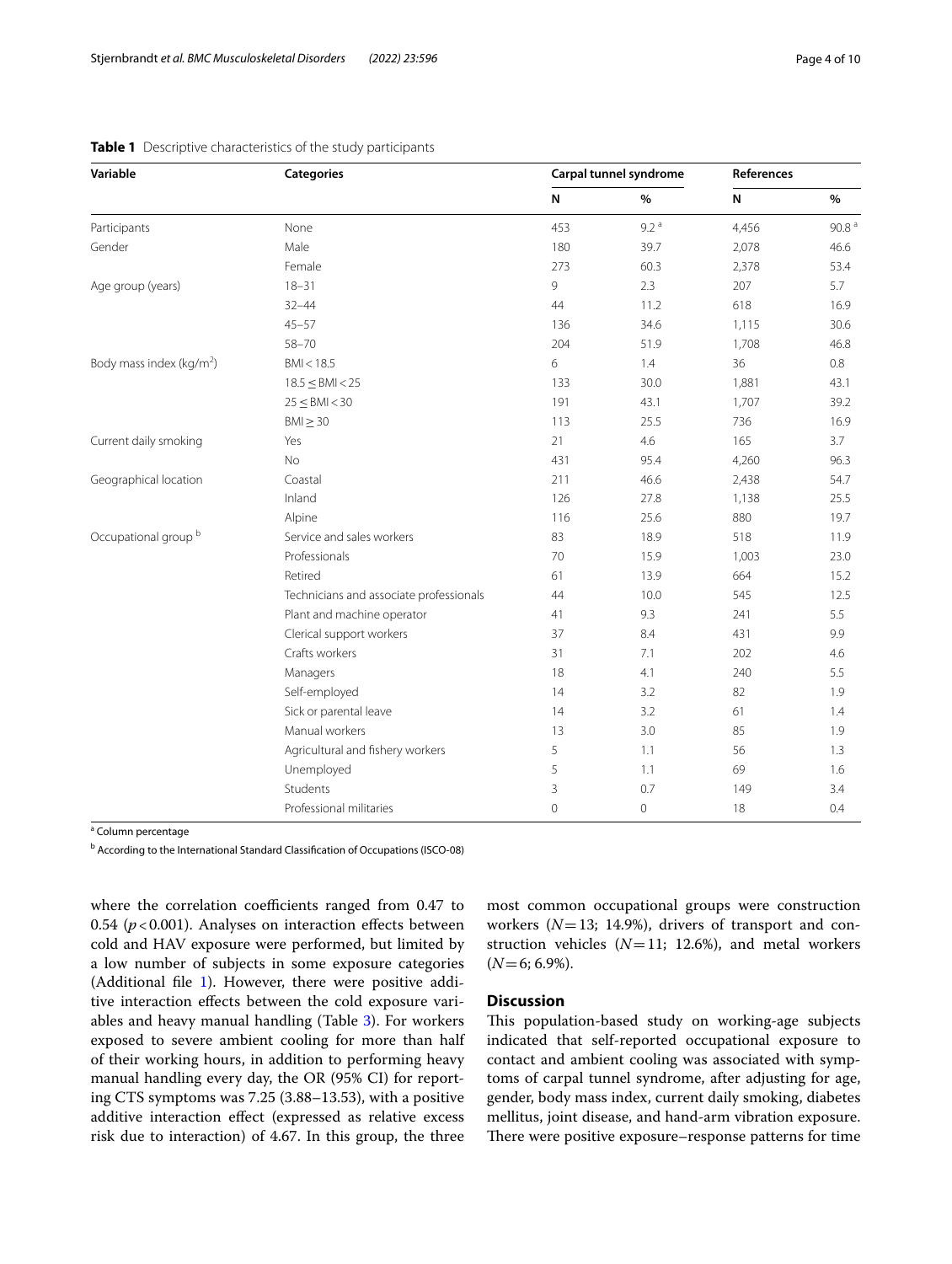| Variable                             | <b>Categories</b>                                                                                  | Carpal tunnel syndrome |                  | References |                   |
|--------------------------------------|----------------------------------------------------------------------------------------------------|------------------------|------------------|------------|-------------------|
|                                      |                                                                                                    | N                      | $\%$             | N          | $\frac{9}{6}$     |
| Participants                         | None                                                                                               | 453                    | 9.2 <sup>a</sup> | 4,456      | 90.8 <sup>a</sup> |
| Gender                               | Male                                                                                               | 180                    | 39.7             | 2,078      | 46.6              |
|                                      | Female                                                                                             | 273                    | 60.3             | 2,378      | 53.4              |
| Age group (years)                    | $18 - 31$                                                                                          | 9                      | 2.3              | 207        | 5.7               |
|                                      | $32 - 44$                                                                                          | 44                     | 11.2             | 618        | 16.9              |
|                                      | $45 - 57$                                                                                          | 136                    | 34.6             | 1,115      | 30.6              |
|                                      | $58 - 70$<br>BMI < 18.5<br>$18.5 \leq$ BMI < 25<br>$25 \leq$ BMI < 30<br>$BM \geq 30$<br>Yes<br>No | 204                    | 51.9             | 1,708      | 46.8              |
| Body mass index (kg/m <sup>2</sup> ) |                                                                                                    | 6                      | 1.4              | 36         | 0.8               |
|                                      |                                                                                                    | 133                    | 30.0             | 1,881      | 43.1              |
|                                      |                                                                                                    | 191                    | 43.1             | 1,707      | 39.2              |
|                                      |                                                                                                    | 113                    | 25.5             | 736        | 16.9              |
| Current daily smoking                |                                                                                                    | 21                     | 4.6              | 165        | 3.7               |
|                                      |                                                                                                    | 431                    | 95.4             | 4,260      | 96.3              |
| Geographical location                | Coastal                                                                                            | 211                    | 46.6             | 2,438      | 54.7              |
|                                      | Inland                                                                                             | 126                    | 27.8             | 1,138      | 25.5              |
|                                      | Alpine                                                                                             | 116                    | 25.6             | 880        | 19.7              |
| Occupational group <sup>b</sup>      | Service and sales workers                                                                          | 83                     | 18.9             | 518        | 11.9              |
|                                      | Professionals                                                                                      | 70                     | 15.9             | 1,003      | 23.0              |
|                                      | Retired                                                                                            | 61                     | 13.9             | 664        | 15.2              |
|                                      | Technicians and associate professionals                                                            | 44                     | 10.0             | 545        | 12.5              |
|                                      | Plant and machine operator                                                                         | 41                     | 9.3              | 241        | 5.5               |
|                                      | Clerical support workers                                                                           | 37                     | 8.4              | 431        | 9.9               |
|                                      | Crafts workers                                                                                     | 31                     | 7.1              | 202        | 4.6               |
|                                      | Managers                                                                                           | 18                     | 4.1              | 240        | 5.5               |
|                                      | Self-employed                                                                                      | 14                     | 3.2              | 82         | 1.9               |
|                                      | Sick or parental leave                                                                             | 14                     | 3.2              | 61         | 1.4               |
|                                      | Manual workers                                                                                     | 13                     | 3.0              | 85         | 1.9               |
|                                      | Agricultural and fishery workers                                                                   | 5                      | 1.1              | 56         | 1.3               |
|                                      | Unemployed                                                                                         | 5                      | 1.1              | 69         | 1.6               |
|                                      | Students                                                                                           | 3                      | 0.7              | 149        | 3.4               |
|                                      | Professional militaries                                                                            | $\mathbf{0}$           | 0                | 18         | 0.4               |

<span id="page-3-0"></span>

|  |  | Table 1 Descriptive characteristics of the study participants |  |  |  |
|--|--|---------------------------------------------------------------|--|--|--|
|--|--|---------------------------------------------------------------|--|--|--|

<sup>a</sup> Column percentage

<sup>b</sup> According to the International Standard Classification of Occupations (ISCO-08)

where the correlation coefficients ranged from 0.47 to 0.54  $(p<0.001)$ . Analyses on interaction effects between cold and HAV exposure were performed, but limited by a low number of subjects in some exposure categories (Additional file [1\)](#page-8-23). However, there were positive additive interaction efects between the cold exposure variables and heavy manual handling (Table [3](#page-6-0)). For workers exposed to severe ambient cooling for more than half of their working hours, in addition to performing heavy manual handling every day, the OR (95% CI) for reporting CTS symptoms was 7.25 (3.88–13.53), with a positive additive interaction effect (expressed as relative excess risk due to interaction) of 4.67. In this group, the three most common occupational groups were construction workers (*N*=13; 14.9%), drivers of transport and construction vehicles  $(N=11; 12.6%)$ , and metal workers  $(N=6; 6.9\%).$ 

# **Discussion**

This population-based study on working-age subjects indicated that self-reported occupational exposure to contact and ambient cooling was associated with symptoms of carpal tunnel syndrome, after adjusting for age, gender, body mass index, current daily smoking, diabetes mellitus, joint disease, and hand-arm vibration exposure. There were positive exposure–response patterns for time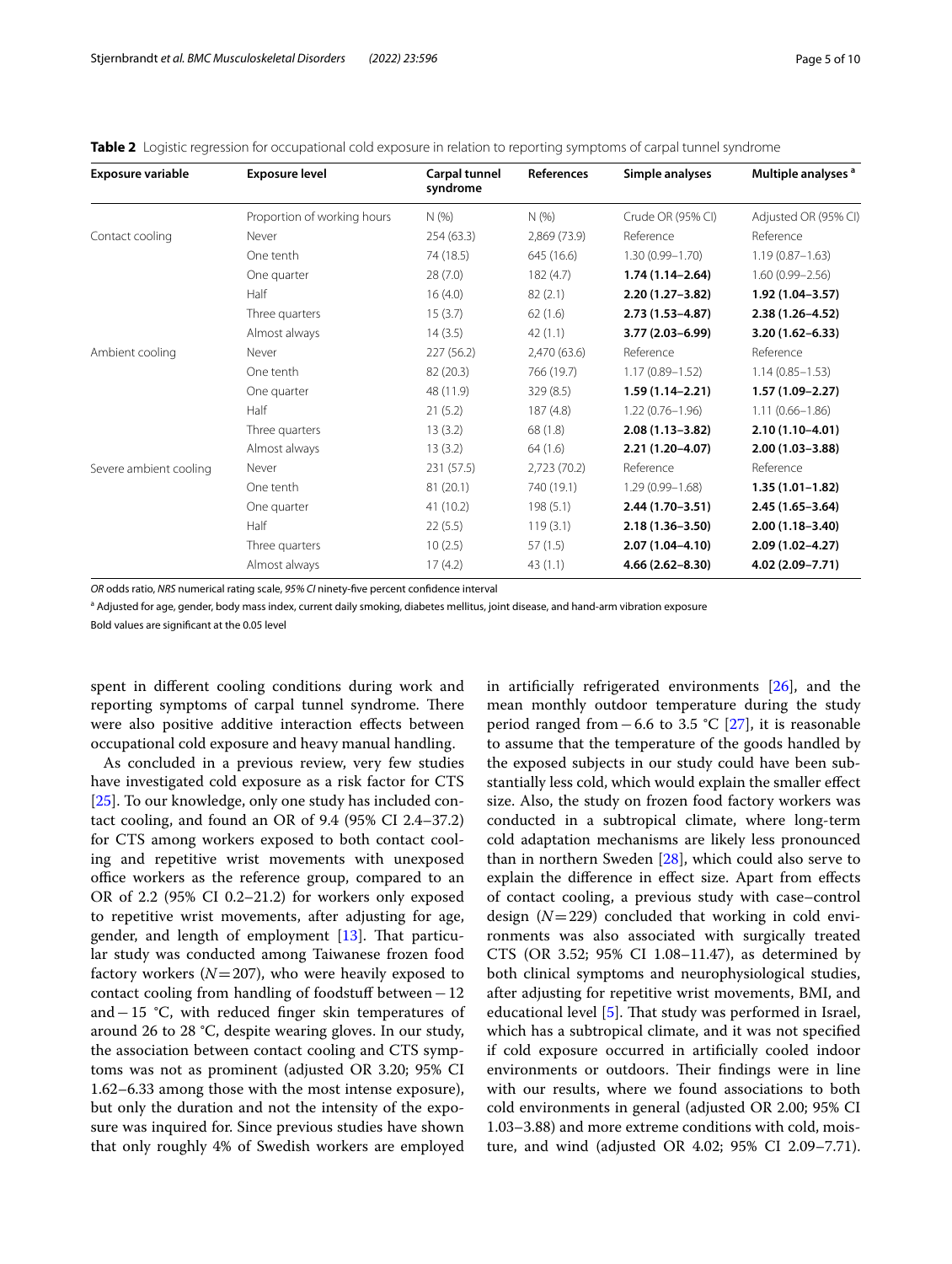<span id="page-4-0"></span>

|  |  | <b>Table 2</b> Logistic regression for occupational cold exposure in relation to reporting symptoms of carpal tunnel syndrome |  |  |  |
|--|--|-------------------------------------------------------------------------------------------------------------------------------|--|--|--|
|  |  |                                                                                                                               |  |  |  |

| <b>Exposure variable</b> | <b>Exposure level</b>       | Carpal tunnel<br>syndrome | References   | Simple analyses     | Multiple analyses <sup>a</sup> |
|--------------------------|-----------------------------|---------------------------|--------------|---------------------|--------------------------------|
|                          | Proportion of working hours | N(% )                     | N(%          | Crude OR (95% CI)   | Adjusted OR (95% CI)           |
| Contact cooling          | Never                       | 254(63.3)                 | 2,869 (73.9) | Reference           | Reference                      |
|                          | One tenth                   | 74 (18.5)                 | 645 (16.6)   | $1.30(0.99 - 1.70)$ | $1.19(0.87 - 1.63)$            |
|                          | One quarter                 | 28(7.0)                   | 182(4.7)     | $1.74(1.14 - 2.64)$ | $1.60(0.99 - 2.56)$            |
|                          | Half                        | 16(4.0)                   | 82(2.1)      | 2.20 (1.27-3.82)    | $1.92(1.04 - 3.57)$            |
|                          | Three quarters              | 15(3.7)                   | 62(1.6)      | $2.73(1.53 - 4.87)$ | $2.38(1.26 - 4.52)$            |
|                          | Almost always               | 14(3.5)                   | 42(1.1)      | 3.77 (2.03-6.99)    | 3.20 (1.62-6.33)               |
| Ambient cooling          | Never                       | 227 (56.2)                | 2,470 (63.6) | Reference           | Reference                      |
|                          | One tenth                   | 82 (20.3)                 | 766 (19.7)   | $1.17(0.89 - 1.52)$ | $1.14(0.85 - 1.53)$            |
|                          | One quarter                 | 48 (11.9)                 | 329 (8.5)    | $1.59(1.14 - 2.21)$ | $1.57(1.09 - 2.27)$            |
|                          | Half                        | 21(5.2)                   | 187(4.8)     | $1.22(0.76 - 1.96)$ | $1.11(0.66 - 1.86)$            |
|                          | Three quarters              | 13(3.2)                   | 68(1.8)      | $2.08(1.13 - 3.82)$ | $2.10(1.10-4.01)$              |
|                          | Almost always               | 13(3.2)                   | 64(1.6)      | 2.21 (1.20-4.07)    | $2.00(1.03 - 3.88)$            |
| Severe ambient cooling   | Never                       | 231 (57.5)                | 2,723 (70.2) | Reference           | Reference                      |
|                          | One tenth                   | 81(20.1)                  | 740 (19.1)   | $1.29(0.99 - 1.68)$ | $1.35(1.01 - 1.82)$            |
|                          | One quarter                 | 41 (10.2)                 | 198(5.1)     | 2.44 (1.70-3.51)    | $2.45(1.65 - 3.64)$            |
|                          | Half                        | 22(5.5)                   | 119(3.1)     | $2.18(1.36 - 3.50)$ | $2.00(1.18 - 3.40)$            |
|                          | Three quarters              | 10(2.5)                   | 57(1.5)      | 2.07 (1.04-4.10)    | 2.09 (1.02-4.27)               |
|                          | Almost always               | 17(4.2)                   | 43(1.1)      | 4.66 (2.62-8.30)    | 4.02 (2.09-7.71)               |
|                          |                             |                           |              |                     |                                |

*OR* odds ratio, *NRS* numerical rating scale, *95% CI* ninety-fve percent confdence interval

<sup>a</sup> Adjusted for age, gender, body mass index, current daily smoking, diabetes mellitus, joint disease, and hand-arm vibration exposure

Bold values are signifcant at the 0.05 level

spent in diferent cooling conditions during work and reporting symptoms of carpal tunnel syndrome. There were also positive additive interaction efects between occupational cold exposure and heavy manual handling.

As concluded in a previous review, very few studies have investigated cold exposure as a risk factor for CTS [[25\]](#page-8-24). To our knowledge, only one study has included contact cooling, and found an OR of 9.4 (95% CI 2.4–37.2) for CTS among workers exposed to both contact cooling and repetitive wrist movements with unexposed office workers as the reference group, compared to an OR of 2.2 (95% CI 0.2–21.2) for workers only exposed to repetitive wrist movements, after adjusting for age, gender, and length of employment  $[13]$ . That particular study was conducted among Taiwanese frozen food factory workers  $(N=207)$ , who were heavily exposed to contact cooling from handling of foodstuf between−12 and−15 °C, with reduced fnger skin temperatures of around 26 to 28 °C, despite wearing gloves. In our study, the association between contact cooling and CTS symptoms was not as prominent (adjusted OR 3.20; 95% CI 1.62–6.33 among those with the most intense exposure), but only the duration and not the intensity of the exposure was inquired for. Since previous studies have shown that only roughly 4% of Swedish workers are employed in artifcially refrigerated environments [[26\]](#page-8-25), and the mean monthly outdoor temperature during the study period ranged from−6.6 to 3.5 °C [\[27](#page-8-26)], it is reasonable to assume that the temperature of the goods handled by the exposed subjects in our study could have been substantially less cold, which would explain the smaller efect size. Also, the study on frozen food factory workers was conducted in a subtropical climate, where long-term cold adaptation mechanisms are likely less pronounced than in northern Sweden [\[28\]](#page-8-27), which could also serve to explain the diference in efect size. Apart from efects of contact cooling, a previous study with case–control design (*N*=229) concluded that working in cold environments was also associated with surgically treated CTS (OR 3.52; 95% CI 1.08–11.47), as determined by both clinical symptoms and neurophysiological studies, after adjusting for repetitive wrist movements, BMI, and educational level  $[5]$  $[5]$ . That study was performed in Israel, which has a subtropical climate, and it was not specifed if cold exposure occurred in artifcially cooled indoor environments or outdoors. Their findings were in line with our results, where we found associations to both cold environments in general (adjusted OR 2.00; 95% CI 1.03–3.88) and more extreme conditions with cold, moisture, and wind (adjusted OR 4.02; 95% CI 2.09–7.71).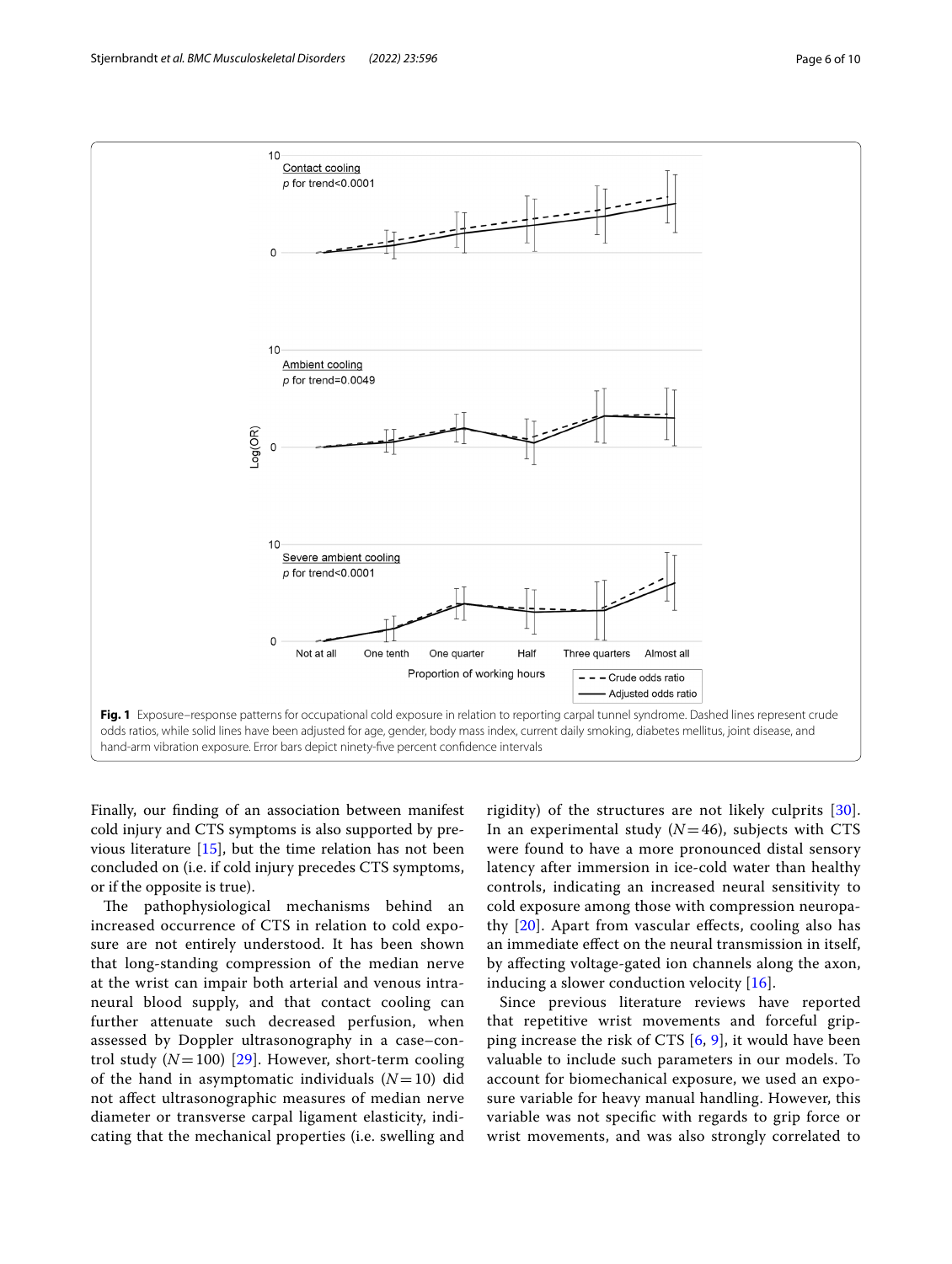

<span id="page-5-0"></span>Finally, our fnding of an association between manifest cold injury and CTS symptoms is also supported by previous literature [\[15](#page-8-13)], but the time relation has not been concluded on (i.e. if cold injury precedes CTS symptoms, or if the opposite is true).

The pathophysiological mechanisms behind an increased occurrence of CTS in relation to cold exposure are not entirely understood. It has been shown that long-standing compression of the median nerve at the wrist can impair both arterial and venous intraneural blood supply, and that contact cooling can further attenuate such decreased perfusion, when assessed by Doppler ultrasonography in a case–control study  $(N=100)$  [[29](#page-8-28)]. However, short-term cooling of the hand in asymptomatic individuals  $(N=10)$  did not afect ultrasonographic measures of median nerve diameter or transverse carpal ligament elasticity, indicating that the mechanical properties (i.e. swelling and rigidity) of the structures are not likely culprits [[30](#page-8-29)]. In an experimental study  $(N=46)$ , subjects with CTS were found to have a more pronounced distal sensory latency after immersion in ice-cold water than healthy controls, indicating an increased neural sensitivity to cold exposure among those with compression neuropathy  $[20]$  $[20]$ . Apart from vascular effects, cooling also has an immediate efect on the neural transmission in itself, by afecting voltage-gated ion channels along the axon, inducing a slower conduction velocity [[16](#page-8-14)].

Since previous literature reviews have reported that repetitive wrist movements and forceful gripping increase the risk of CTS [[6,](#page-8-5) [9](#page-8-7)], it would have been valuable to include such parameters in our models. To account for biomechanical exposure, we used an exposure variable for heavy manual handling. However, this variable was not specifc with regards to grip force or wrist movements, and was also strongly correlated to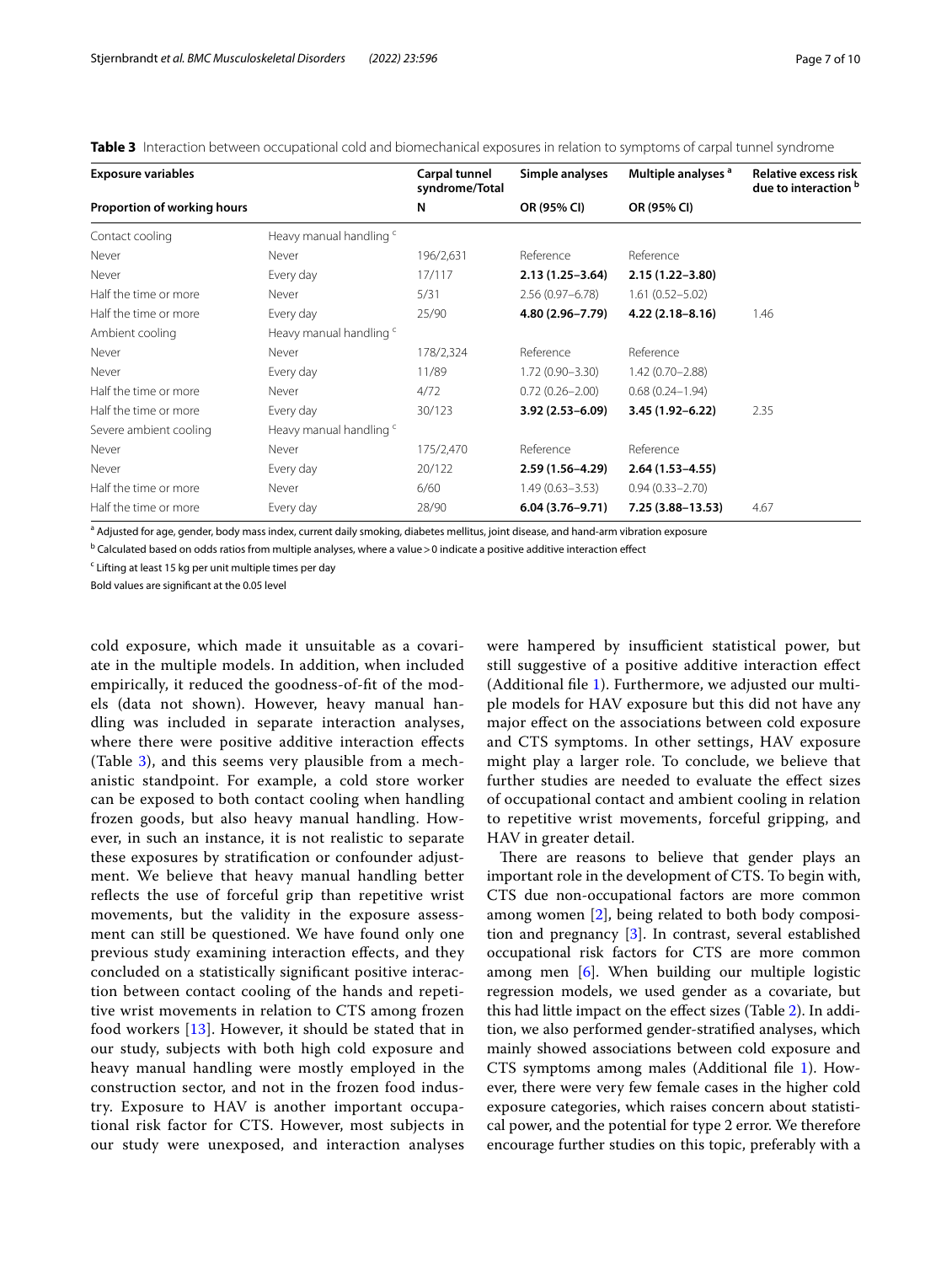<span id="page-6-0"></span>**Table 3** Interaction between occupational cold and biomechanical exposures in relation to symptoms of carpal tunnel syndrome

| <b>Exposure variables</b>   |                         | Carpal tunnel<br>syndrome/Total | Simple analyses     | Multiple analyses <sup>a</sup> | Relative excess risk<br>due to interaction b |  |
|-----------------------------|-------------------------|---------------------------------|---------------------|--------------------------------|----------------------------------------------|--|
| Proportion of working hours |                         | N                               | OR (95% CI)         | OR (95% CI)                    |                                              |  |
| Contact cooling             | Heavy manual handling c |                                 |                     |                                |                                              |  |
| Never                       | Never                   | 196/2,631                       | Reference           | Reference                      |                                              |  |
| Never                       | Every day               | 17/117                          | $2.13(1.25 - 3.64)$ | $2.15(1.22 - 3.80)$            |                                              |  |
| Half the time or more       | Never                   | 5/31                            | $2.56(0.97 - 6.78)$ | $1.61(0.52 - 5.02)$            |                                              |  |
| Half the time or more       | Every day               | 25/90                           | 4.80 (2.96-7.79)    | $4.22(2.18 - 8.16)$            | 1.46                                         |  |
| Ambient cooling             | Heavy manual handling c |                                 |                     |                                |                                              |  |
| Never                       | Never                   | 178/2,324                       | Reference           | Reference                      |                                              |  |
| Never                       | Every day               | 11/89                           | $1.72(0.90 - 3.30)$ | 1.42 (0.70-2.88)               |                                              |  |
| Half the time or more       | Never                   | 4/72                            | $0.72(0.26 - 2.00)$ | $0.68(0.24 - 1.94)$            |                                              |  |
| Half the time or more       | Every day               | 30/123                          | $3.92(2.53 - 6.09)$ | 3.45 (1.92-6.22)               | 2.35                                         |  |
| Severe ambient cooling      | Heavy manual handling c |                                 |                     |                                |                                              |  |
| Never                       | Never                   | 175/2,470                       | Reference           | Reference                      |                                              |  |
| Never                       | Every day               | 20/122                          | $2.59(1.56 - 4.29)$ | $2.64(1.53 - 4.55)$            |                                              |  |
| Half the time or more       | Never                   | 6/60                            | $1.49(0.63 - 3.53)$ | $0.94(0.33 - 2.70)$            |                                              |  |
| Half the time or more       | Every day               | 28/90                           | $6.04(3.76 - 9.71)$ | $7.25(3.88 - 13.53)$           | 4.67                                         |  |

<sup>a</sup> Adjusted for age, gender, body mass index, current daily smoking, diabetes mellitus, joint disease, and hand-arm vibration exposure

 $^{\rm b}$  Calculated based on odds ratios from multiple analyses, where a value >0 indicate a positive additive interaction effect

<sup>c</sup> Lifting at least 15 kg per unit multiple times per day

Bold values are signifcant at the 0.05 level

cold exposure, which made it unsuitable as a covariate in the multiple models. In addition, when included empirically, it reduced the goodness-of-ft of the models (data not shown). However, heavy manual handling was included in separate interaction analyses, where there were positive additive interaction efects (Table  $3$ ), and this seems very plausible from a mechanistic standpoint. For example, a cold store worker can be exposed to both contact cooling when handling frozen goods, but also heavy manual handling. However, in such an instance, it is not realistic to separate these exposures by stratifcation or confounder adjustment. We believe that heavy manual handling better refects the use of forceful grip than repetitive wrist movements, but the validity in the exposure assessment can still be questioned. We have found only one previous study examining interaction efects, and they concluded on a statistically signifcant positive interaction between contact cooling of the hands and repetitive wrist movements in relation to CTS among frozen food workers [[13](#page-8-11)]. However, it should be stated that in our study, subjects with both high cold exposure and heavy manual handling were mostly employed in the construction sector, and not in the frozen food industry. Exposure to HAV is another important occupational risk factor for CTS. However, most subjects in our study were unexposed, and interaction analyses were hampered by insufficient statistical power, but still suggestive of a positive additive interaction efect (Additional fle [1\)](#page-8-23). Furthermore, we adjusted our multiple models for HAV exposure but this did not have any major efect on the associations between cold exposure and CTS symptoms. In other settings, HAV exposure might play a larger role. To conclude, we believe that further studies are needed to evaluate the efect sizes of occupational contact and ambient cooling in relation to repetitive wrist movements, forceful gripping, and HAV in greater detail.

There are reasons to believe that gender plays an important role in the development of CTS. To begin with, CTS due non-occupational factors are more common among women [[2](#page-8-1)], being related to both body composition and pregnancy [\[3](#page-8-2)]. In contrast, several established occupational risk factors for CTS are more common among men [[6\]](#page-8-5). When building our multiple logistic regression models, we used gender as a covariate, but this had little impact on the efect sizes (Table [2\)](#page-4-0). In addition, we also performed gender-stratifed analyses, which mainly showed associations between cold exposure and CTS symptoms among males (Additional fle [1\)](#page-8-23). However, there were very few female cases in the higher cold exposure categories, which raises concern about statistical power, and the potential for type 2 error. We therefore encourage further studies on this topic, preferably with a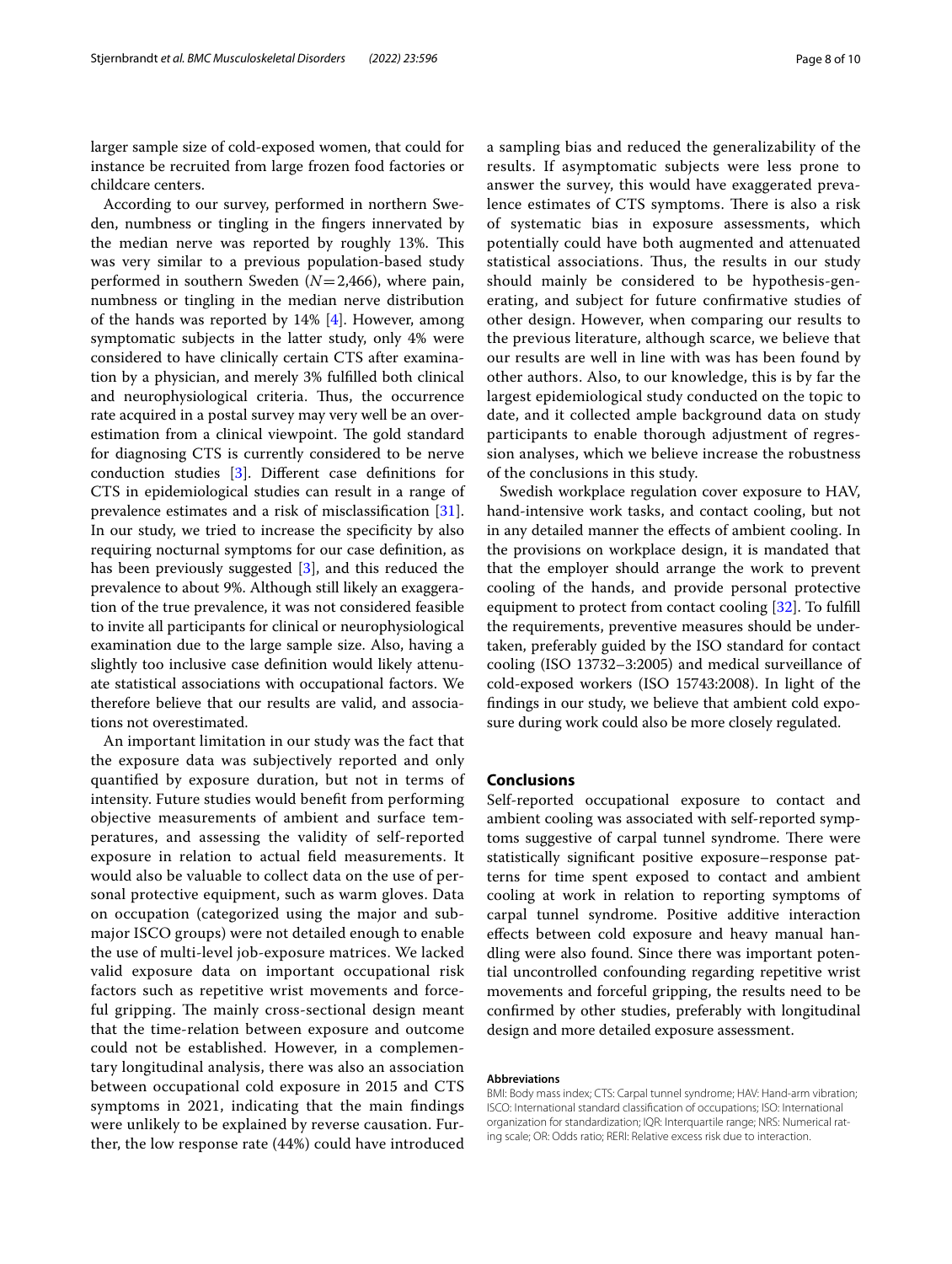larger sample size of cold-exposed women, that could for instance be recruited from large frozen food factories or childcare centers.

According to our survey, performed in northern Sweden, numbness or tingling in the fngers innervated by the median nerve was reported by roughly 13%. This was very similar to a previous population-based study performed in southern Sweden (*N*=2,466), where pain, numbness or tingling in the median nerve distribution of the hands was reported by 14% [[4\]](#page-8-3). However, among symptomatic subjects in the latter study, only 4% were considered to have clinically certain CTS after examination by a physician, and merely 3% fulflled both clinical and neurophysiological criteria. Thus, the occurrence rate acquired in a postal survey may very well be an overestimation from a clinical viewpoint. The gold standard for diagnosing CTS is currently considered to be nerve conduction studies [[3\]](#page-8-2). Diferent case defnitions for CTS in epidemiological studies can result in a range of prevalence estimates and a risk of misclassifcation [\[31](#page-9-0)]. In our study, we tried to increase the specifcity by also requiring nocturnal symptoms for our case defnition, as has been previously suggested [[3\]](#page-8-2), and this reduced the prevalence to about 9%. Although still likely an exaggeration of the true prevalence, it was not considered feasible to invite all participants for clinical or neurophysiological examination due to the large sample size. Also, having a slightly too inclusive case defnition would likely attenuate statistical associations with occupational factors. We therefore believe that our results are valid, and associations not overestimated.

An important limitation in our study was the fact that the exposure data was subjectively reported and only quantifed by exposure duration, but not in terms of intensity. Future studies would beneft from performing objective measurements of ambient and surface temperatures, and assessing the validity of self-reported exposure in relation to actual feld measurements. It would also be valuable to collect data on the use of personal protective equipment, such as warm gloves. Data on occupation (categorized using the major and submajor ISCO groups) were not detailed enough to enable the use of multi-level job-exposure matrices. We lacked valid exposure data on important occupational risk factors such as repetitive wrist movements and forceful gripping. The mainly cross-sectional design meant that the time-relation between exposure and outcome could not be established. However, in a complementary longitudinal analysis, there was also an association between occupational cold exposure in 2015 and CTS symptoms in 2021, indicating that the main fndings were unlikely to be explained by reverse causation. Further, the low response rate (44%) could have introduced a sampling bias and reduced the generalizability of the results. If asymptomatic subjects were less prone to answer the survey, this would have exaggerated prevalence estimates of CTS symptoms. There is also a risk of systematic bias in exposure assessments, which potentially could have both augmented and attenuated statistical associations. Thus, the results in our study should mainly be considered to be hypothesis-generating, and subject for future confrmative studies of other design. However, when comparing our results to the previous literature, although scarce, we believe that our results are well in line with was has been found by other authors. Also, to our knowledge, this is by far the largest epidemiological study conducted on the topic to date, and it collected ample background data on study participants to enable thorough adjustment of regression analyses, which we believe increase the robustness of the conclusions in this study.

Swedish workplace regulation cover exposure to HAV, hand-intensive work tasks, and contact cooling, but not in any detailed manner the effects of ambient cooling. In the provisions on workplace design, it is mandated that that the employer should arrange the work to prevent cooling of the hands, and provide personal protective equipment to protect from contact cooling [\[32\]](#page-9-1). To fulfll the requirements, preventive measures should be undertaken, preferably guided by the ISO standard for contact cooling (ISO 13732–3:2005) and medical surveillance of cold-exposed workers (ISO 15743:2008). In light of the fndings in our study, we believe that ambient cold exposure during work could also be more closely regulated.

## **Conclusions**

Self-reported occupational exposure to contact and ambient cooling was associated with self-reported symptoms suggestive of carpal tunnel syndrome. There were statistically signifcant positive exposure–response patterns for time spent exposed to contact and ambient cooling at work in relation to reporting symptoms of carpal tunnel syndrome. Positive additive interaction efects between cold exposure and heavy manual handling were also found. Since there was important potential uncontrolled confounding regarding repetitive wrist movements and forceful gripping, the results need to be confrmed by other studies, preferably with longitudinal design and more detailed exposure assessment.

#### **Abbreviations**

BMI: Body mass index; CTS: Carpal tunnel syndrome; HAV: Hand-arm vibration; ISCO: International standard classifcation of occupations; ISO: International organization for standardization; IQR: Interquartile range; NRS: Numerical rating scale; OR: Odds ratio; RERI: Relative excess risk due to interaction.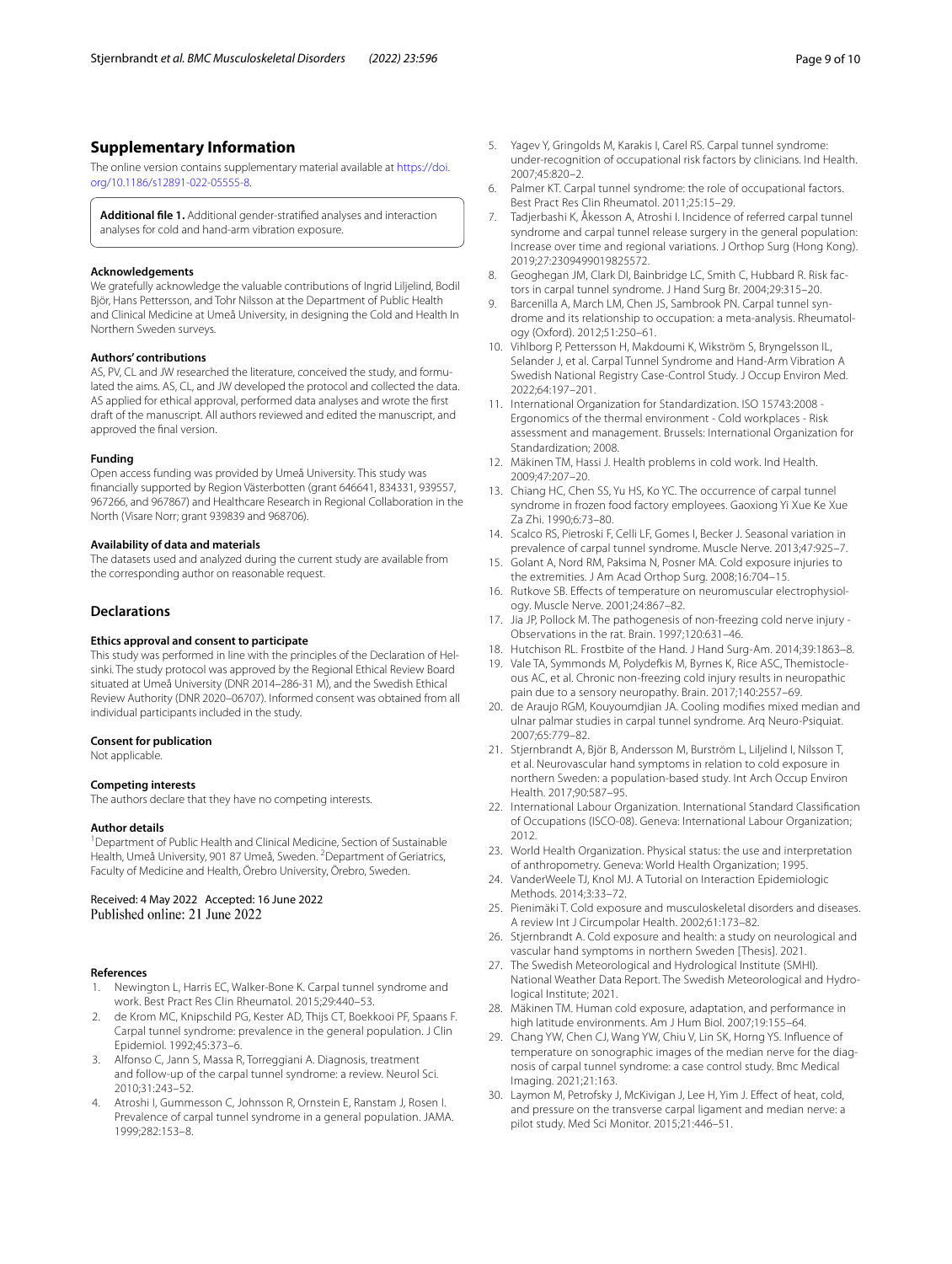# **Supplementary Information**

The online version contains supplementary material available at [https://doi.](https://doi.org/10.1186/s12891-022-05555-8) [org/10.1186/s12891-022-05555-8](https://doi.org/10.1186/s12891-022-05555-8).

<span id="page-8-23"></span>**Additional fle 1.** Additional gender-stratifed analyses and interaction analyses for cold and hand-arm vibration exposure.

#### **Acknowledgements**

We gratefully acknowledge the valuable contributions of Ingrid Liljelind, Bodil Björ, Hans Pettersson, and Tohr Nilsson at the Department of Public Health and Clinical Medicine at Umeå University, in designing the Cold and Health In Northern Sweden surveys.

## **Authors' contributions**

AS, PV, CL and JW researched the literature, conceived the study, and formulated the aims. AS, CL, and JW developed the protocol and collected the data. AS applied for ethical approval, performed data analyses and wrote the frst draft of the manuscript. All authors reviewed and edited the manuscript, and approved the fnal version.

#### **Funding**

Open access funding was provided by Umeå University. This study was fnancially supported by Region Västerbotten (grant 646641, 834331, 939557, 967266, and 967867) and Healthcare Research in Regional Collaboration in the North (Visare Norr; grant 939839 and 968706).

#### **Availability of data and materials**

The datasets used and analyzed during the current study are available from the corresponding author on reasonable request.

### **Declarations**

#### **Ethics approval and consent to participate**

This study was performed in line with the principles of the Declaration of Helsinki. The study protocol was approved by the Regional Ethical Review Board situated at Umeå University (DNR 2014–286-31 M), and the Swedish Ethical Review Authority (DNR 2020–06707). Informed consent was obtained from all individual participants included in the study.

#### **Consent for publication**

Not applicable.

#### **Competing interests**

The authors declare that they have no competing interests.

#### **Author details**

<sup>1</sup> Department of Public Health and Clinical Medicine, Section of Sustainable Health, Umeå University, 901 87 Umeå, Sweden. <sup>2</sup> Department of Geriatrics, Faculty of Medicine and Health, Örebro University, Örebro, Sweden.

Received: 4 May 2022 Accepted: 16 June 2022<br>Published online: 21 June 2022

#### **References**

- <span id="page-8-0"></span>1. Newington L, Harris EC, Walker-Bone K. Carpal tunnel syndrome and work. Best Pract Res Clin Rheumatol. 2015;29:440–53.
- <span id="page-8-1"></span>2. de Krom MC, Knipschild PG, Kester AD, Thijs CT, Boekkooi PF, Spaans F. Carpal tunnel syndrome: prevalence in the general population. J Clin Epidemiol. 1992;45:373–6.
- <span id="page-8-2"></span>3. Alfonso C, Jann S, Massa R, Torreggiani A. Diagnosis, treatment and follow-up of the carpal tunnel syndrome: a review. Neurol Sci. 2010;31:243–52.
- <span id="page-8-3"></span>4. Atroshi I, Gummesson C, Johnsson R, Ornstein E, Ranstam J, Rosen I. Prevalence of carpal tunnel syndrome in a general population. JAMA. 1999;282:153–8.
- <span id="page-8-4"></span>5. Yagev Y, Gringolds M, Karakis I, Carel RS. Carpal tunnel syndrome: under-recognition of occupational risk factors by clinicians. Ind Health. 2007;45:820–2.
- <span id="page-8-5"></span>6. Palmer KT. Carpal tunnel syndrome: the role of occupational factors. Best Pract Res Clin Rheumatol. 2011;25:15–29.
- 7. Tadjerbashi K, Åkesson A, Atroshi I. Incidence of referred carpal tunnel syndrome and carpal tunnel release surgery in the general population: Increase over time and regional variations. J Orthop Surg (Hong Kong). 2019;27:2309499019825572.
- <span id="page-8-6"></span>8. Geoghegan JM, Clark DI, Bainbridge LC, Smith C, Hubbard R. Risk factors in carpal tunnel syndrome. J Hand Surg Br. 2004;29:315–20.
- <span id="page-8-7"></span>9. Barcenilla A, March LM, Chen JS, Sambrook PN. Carpal tunnel syndrome and its relationship to occupation: a meta-analysis. Rheumatology (Oxford). 2012;51:250–61.
- <span id="page-8-8"></span>10. Vihlborg P, Pettersson H, Makdoumi K, Wikström S, Bryngelsson IL, Selander J, et al. Carpal Tunnel Syndrome and Hand-Arm Vibration A Swedish National Registry Case-Control Study. J Occup Environ Med. 2022;64:197–201.
- <span id="page-8-9"></span>11. International Organization for Standardization. ISO 15743:2008 - Ergonomics of the thermal environment - Cold workplaces - Risk assessment and management. Brussels: International Organization for Standardization; 2008.
- <span id="page-8-10"></span>12. Mäkinen TM, Hassi J. Health problems in cold work. Ind Health. 2009;47:207–20.
- <span id="page-8-11"></span>13. Chiang HC, Chen SS, Yu HS, Ko YC. The occurrence of carpal tunnel syndrome in frozen food factory employees. Gaoxiong Yi Xue Ke Xue Za Zhi. 1990;6:73–80.
- <span id="page-8-12"></span>14. Scalco RS, Pietroski F, Celli LF, Gomes I, Becker J. Seasonal variation in prevalence of carpal tunnel syndrome. Muscle Nerve. 2013;47:925–7.
- <span id="page-8-13"></span>15. Golant A, Nord RM, Paksima N, Posner MA. Cold exposure injuries to the extremities. J Am Acad Orthop Surg. 2008;16:704–15.
- <span id="page-8-14"></span>16. Rutkove SB. Efects of temperature on neuromuscular electrophysiology. Muscle Nerve. 2001;24:867–82.
- <span id="page-8-15"></span>17. Jia JP, Pollock M. The pathogenesis of non-freezing cold nerve injury - Observations in the rat. Brain. 1997;120:631–46.
- <span id="page-8-16"></span>18. Hutchison RL. Frostbite of the Hand. J Hand Surg-Am. 2014;39:1863–8.
- <span id="page-8-17"></span>19. Vale TA, Symmonds M, Polydefkis M, Byrnes K, Rice ASC, Themistocleous AC, et al. Chronic non-freezing cold injury results in neuropathic pain due to a sensory neuropathy. Brain. 2017;140:2557–69.
- <span id="page-8-18"></span>20. de Araujo RGM, Kouyoumdjian JA. Cooling modifes mixed median and ulnar palmar studies in carpal tunnel syndrome. Arq Neuro-Psiquiat. 2007;65:779–82.
- <span id="page-8-19"></span>21. Stjernbrandt A, Björ B, Andersson M, Burström L, Liljelind I, Nilsson T, et al. Neurovascular hand symptoms in relation to cold exposure in northern Sweden: a population-based study. Int Arch Occup Environ Health. 2017;90:587–95.
- <span id="page-8-20"></span>22. International Labour Organization. International Standard Classifcation of Occupations (ISCO-08). Geneva: International Labour Organization; 2012.
- <span id="page-8-21"></span>23. World Health Organization. Physical status: the use and interpretation of anthropometry. Geneva: World Health Organization; 1995.
- <span id="page-8-22"></span>24. VanderWeele TJ, Knol MJ. A Tutorial on Interaction Epidemiologic Methods. 2014;3:33–72.
- <span id="page-8-24"></span>25. Pienimäki T. Cold exposure and musculoskeletal disorders and diseases. A review Int J Circumpolar Health. 2002;61:173–82.
- <span id="page-8-25"></span>26. Stjernbrandt A. Cold exposure and health: a study on neurological and vascular hand symptoms in northern Sweden [Thesis]. 2021.
- <span id="page-8-26"></span>27. The Swedish Meteorological and Hydrological Institute (SMHI). National Weather Data Report. The Swedish Meteorological and Hydrological Institute; 2021.
- <span id="page-8-27"></span>28. Mäkinen TM. Human cold exposure, adaptation, and performance in high latitude environments. Am J Hum Biol. 2007;19:155–64.
- <span id="page-8-28"></span>29. Chang YW, Chen CJ, Wang YW, Chiu V, Lin SK, Horng YS. Infuence of temperature on sonographic images of the median nerve for the diagnosis of carpal tunnel syndrome: a case control study. Bmc Medical Imaging. 2021;21:163.
- <span id="page-8-29"></span>30. Laymon M, Petrofsky J, McKivigan J, Lee H, Yim J. Efect of heat, cold, and pressure on the transverse carpal ligament and median nerve: a pilot study. Med Sci Monitor. 2015;21:446–51.